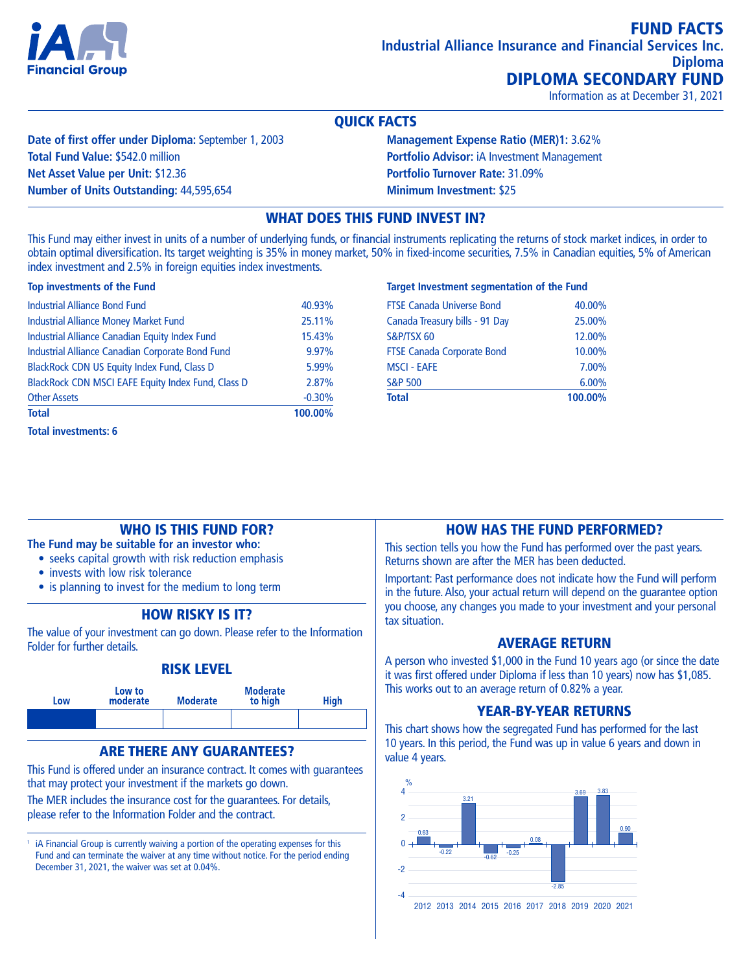

Information as at December 31, 2021

### QUICK FACTS

**Date of first offer under Diploma:** September 1, 2003 **Total Fund Value:** \$542.0 million **Net Asset Value per Unit:** \$12.36 **Number of Units Outstanding:** 44,595,654

**Management Expense Ratio (MER)1:** 3.62% **Portfolio Advisor:** iA Investment Management **Portfolio Turnover Rate:** 31.09% **Minimum Investment:** \$25

# WHAT DOES THIS FUND INVEST IN?

This Fund may either invest in units of a number of underlying funds, or financial instruments replicating the returns of stock market indices, in order to obtain optimal diversification. Its target weighting is 35% in money market, 50% in fixed-income securities, 7.5% in Canadian equities, 5% of American index investment and 2.5% in foreign equities index investments.

#### **Top investments of the Fund**

| 100.00%  |
|----------|
| $-0.30%$ |
| 2.87%    |
| 5.99%    |
| 9.97%    |
| 15.43%   |
| 25.11%   |
| 40.93%   |
|          |

#### **Target Investment segmentation of the Fund**

| <b>Total</b>                      | 100.00% |
|-----------------------------------|---------|
| <b>S&amp;P 500</b>                | 6.00%   |
| <b>MSCI - EAFE</b>                | 7.00%   |
| <b>FTSE Canada Corporate Bond</b> | 10.00%  |
| S&P/TSX 60                        | 12.00%  |
| Canada Treasury bills - 91 Day    | 25.00%  |
| <b>FTSE Canada Universe Bond</b>  | 40.00%  |

### WHO IS THIS FUND FOR?

**The Fund may be suitable for an investor who:**

- seeks capital growth with risk reduction emphasis
- invests with low risk tolerance
- is planning to invest for the medium to long term

# HOW RISKY IS IT?

The value of your investment can go down. Please refer to the Information Folder for further details.

### RISK LEVEL



# ARE THERE ANY GUARANTEES?

This Fund is offered under an insurance contract. It comes with guarantees that may protect your investment if the markets go down.

The MER includes the insurance cost for the guarantees. For details, please refer to the Information Folder and the contract.

<sup>1</sup> iA Financial Group is currently waiving a portion of the operating expenses for this Fund and can terminate the waiver at any time without notice. For the period ending December 31, 2021, the waiver was set at 0.04%.

### HOW HAS THE FUND PERFORMED?

This section tells you how the Fund has performed over the past years. Returns shown are after the MER has been deducted.

Important: Past performance does not indicate how the Fund will perform in the future. Also, your actual return will depend on the guarantee option you choose, any changes you made to your investment and your personal tax situation.

### AVERAGE RETURN

A person who invested \$1,000 in the Fund 10 years ago (or since the date it was first offered under Diploma if less than 10 years) now has \$1,085. This works out to an average return of 0.82% a year.

# YEAR-BY-YEAR RETURNS

This chart shows how the segregated Fund has performed for the last 10 years. In this period, the Fund was up in value 6 years and down in value 4 years.